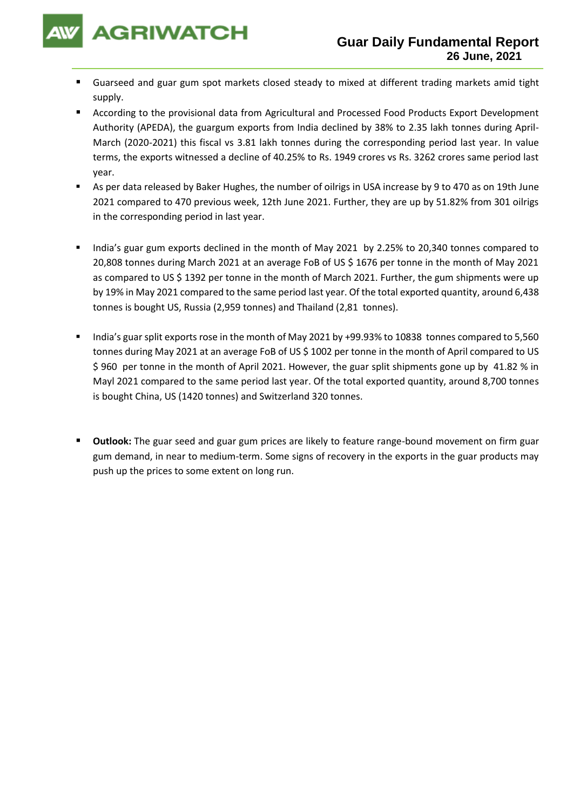

- Guarseed and guar gum spot markets closed steady to mixed at different trading markets amid tight supply.
- According to the provisional data from Agricultural and Processed Food Products Export Development Authority (APEDA), the guargum exports from India declined by 38% to 2.35 lakh tonnes during April-March (2020-2021) this fiscal vs 3.81 lakh tonnes during the corresponding period last year. In value terms, the exports witnessed a decline of 40.25% to Rs. 1949 crores vs Rs. 3262 crores same period last year.
- As per data released by Baker Hughes, the number of oilrigs in USA increase by 9 to 470 as on 19th June 2021 compared to 470 previous week, 12th June 2021. Further, they are up by 51.82% from 301 oilrigs in the corresponding period in last year.
- India's guar gum exports declined in the month of May 2021 by 2.25% to 20,340 tonnes compared to 20,808 tonnes during March 2021 at an average FoB of US \$ 1676 per tonne in the month of May 2021 as compared to US \$ 1392 per tonne in the month of March 2021. Further, the gum shipments were up by 19% in May 2021 compared to the same period last year. Of the total exported quantity, around 6,438 tonnes is bought US, Russia (2,959 tonnes) and Thailand (2,81 tonnes).
- India's guar split exports rose in the month of May 2021 by +99.93% to 10838 tonnes compared to 5,560 tonnes during May 2021 at an average FoB of US \$ 1002 per tonne in the month of April compared to US \$ 960 per tonne in the month of April 2021. However, the guar split shipments gone up by 41.82 % in Mayl 2021 compared to the same period last year. Of the total exported quantity, around 8,700 tonnes is bought China, US (1420 tonnes) and Switzerland 320 tonnes.
- **Outlook:** The guar seed and guar gum prices are likely to feature range-bound movement on firm guar gum demand, in near to medium-term. Some signs of recovery in the exports in the guar products may push up the prices to some extent on long run.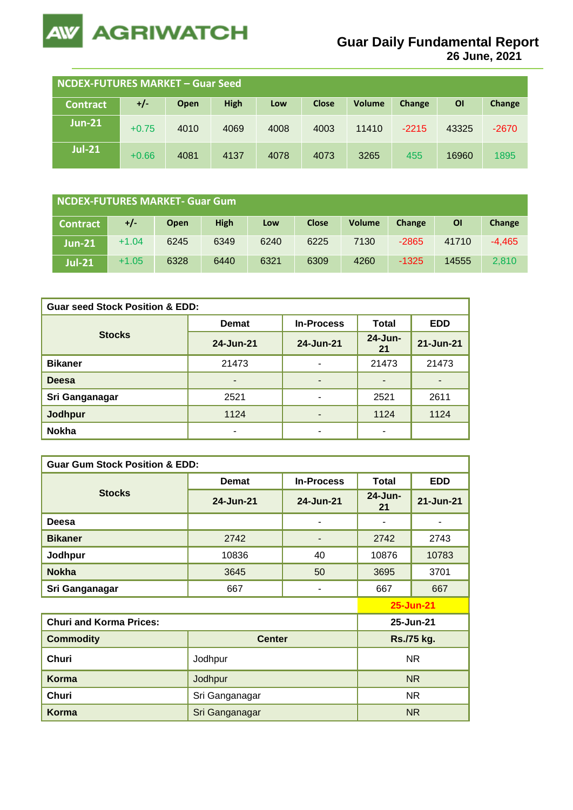

**26 June, 2021**

| NCDEX-FUTURES MARKET - Guar Seed |         |      |             |      |              |               |         |       |         |
|----------------------------------|---------|------|-------------|------|--------------|---------------|---------|-------|---------|
| <b>Contract</b>                  | $+/-$   | Open | <b>High</b> | Low  | <b>Close</b> | <b>Volume</b> | Change  | ΟI    | Change  |
| $Jun-21$                         | $+0.75$ | 4010 | 4069        | 4008 | 4003         | 11410         | $-2215$ | 43325 | $-2670$ |
| <b>Jul-21</b>                    | $+0.66$ | 4081 | 4137        | 4078 | 4073         | 3265          | 455     | 16960 | 1895    |

| <b>NCDEX-FUTURES MARKET- Guar Gum</b> |         |      |      |      |              |               |         |           |          |
|---------------------------------------|---------|------|------|------|--------------|---------------|---------|-----------|----------|
| <b>Contract</b>                       | +/-     | Open | High | Low  | <b>Close</b> | <b>Volume</b> | Change  | <b>OI</b> | Change   |
| $Jun-21$                              | $+1.04$ | 6245 | 6349 | 6240 | 6225         | 7130          | $-2865$ | 41710     | $-4.465$ |
| <b>Jul-21</b>                         | $+1.05$ | 6328 | 6440 | 6321 | 6309         | 4260          | $-1325$ | 14555     | 2.810    |

| <b>Guar seed Stock Position &amp; EDD:</b> |              |                   |                  |            |  |  |  |
|--------------------------------------------|--------------|-------------------|------------------|------------|--|--|--|
|                                            | <b>Demat</b> | <b>In-Process</b> | <b>Total</b>     | <b>EDD</b> |  |  |  |
| <b>Stocks</b>                              | 24-Jun-21    | 24-Jun-21         | $24$ -Jun-<br>21 | 21-Jun-21  |  |  |  |
| <b>Bikaner</b>                             | 21473        | -                 | 21473            | 21473      |  |  |  |
| <b>Deesa</b>                               | -            | -                 |                  |            |  |  |  |
| Sri Ganganagar                             | 2521         | ۰                 | 2521             | 2611       |  |  |  |
| <b>Jodhpur</b>                             | 1124         |                   | 1124             | 1124       |  |  |  |
| <b>Nokha</b>                               | ۰            | ۰                 |                  |            |  |  |  |

| <b>Guar Gum Stock Position &amp; EDD:</b> |                |                   |               |                  |  |  |  |  |
|-------------------------------------------|----------------|-------------------|---------------|------------------|--|--|--|--|
|                                           | <b>Demat</b>   | <b>In-Process</b> | <b>Total</b>  | <b>EDD</b>       |  |  |  |  |
| <b>Stocks</b>                             | 24-Jun-21      | 24-Jun-21         | 24-Jun-<br>21 | 21-Jun-21        |  |  |  |  |
| Deesa                                     |                |                   |               |                  |  |  |  |  |
| <b>Bikaner</b>                            | 2742           |                   | 2742          | 2743             |  |  |  |  |
| Jodhpur                                   | 10836          | 40                | 10876         | 10783            |  |  |  |  |
| <b>Nokha</b>                              | 3645           | 50                | 3695          | 3701             |  |  |  |  |
| Sri Ganganagar                            | 667            |                   | 667           | 667              |  |  |  |  |
|                                           |                |                   |               | <b>25-Jun-21</b> |  |  |  |  |
| <b>Churi and Korma Prices:</b>            |                |                   | 25-Jun-21     |                  |  |  |  |  |
| <b>Commodity</b>                          | <b>Center</b>  |                   | Rs./75 kg.    |                  |  |  |  |  |
| Churi                                     | Jodhpur        | <b>NR</b>         |               |                  |  |  |  |  |
| <b>Korma</b>                              | Jodhpur        |                   | NR.           |                  |  |  |  |  |
| Churi                                     | Sri Ganganagar | <b>NR</b>         |               |                  |  |  |  |  |
| <b>Korma</b>                              | Sri Ganganagar |                   |               | <b>NR</b>        |  |  |  |  |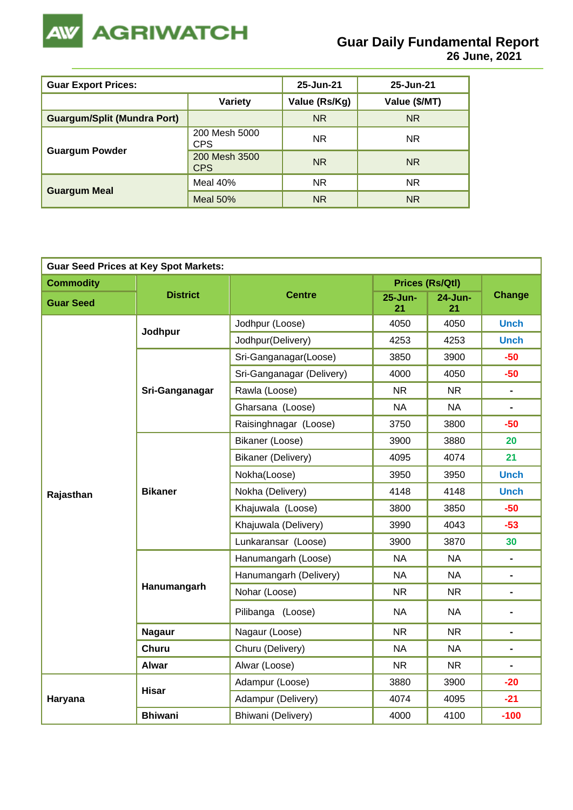

| <b>Guar Export Prices:</b>         | 25-Jun-21                   | 25-Jun-21     |                |
|------------------------------------|-----------------------------|---------------|----------------|
|                                    | <b>Variety</b>              | Value (Rs/Kg) | Value (\$/MT)  |
| <b>Guargum/Split (Mundra Port)</b> |                             | <b>NR</b>     | <b>NR</b>      |
|                                    | 200 Mesh 5000<br><b>CPS</b> | <b>NR</b>     | NR.            |
| <b>Guargum Powder</b>              | 200 Mesh 3500<br><b>CPS</b> | <b>NR</b>     | N <sub>R</sub> |
|                                    | Meal $40%$                  | <b>NR</b>     | <b>NR</b>      |
| <b>Guargum Meal</b>                | Meal $50%$                  | <b>NR</b>     | <b>NR</b>      |

| <b>Guar Seed Prices at Key Spot Markets:</b> |                 |                           |                                                                                                                                                                                                                                                                |                        |                |  |  |  |
|----------------------------------------------|-----------------|---------------------------|----------------------------------------------------------------------------------------------------------------------------------------------------------------------------------------------------------------------------------------------------------------|------------------------|----------------|--|--|--|
| <b>Commodity</b>                             |                 |                           |                                                                                                                                                                                                                                                                | <b>Prices (Rs/Qtl)</b> |                |  |  |  |
| <b>Guar Seed</b>                             | <b>District</b> | <b>Centre</b>             | 25-Jun-<br>21                                                                                                                                                                                                                                                  | 24-Jun-<br>21          | <b>Change</b>  |  |  |  |
|                                              |                 | Jodhpur (Loose)           | 4050                                                                                                                                                                                                                                                           | 4050                   | <b>Unch</b>    |  |  |  |
|                                              | Jodhpur         | Jodhpur(Delivery)         | 4253                                                                                                                                                                                                                                                           | 4253                   | <b>Unch</b>    |  |  |  |
|                                              |                 | Sri-Ganganagar(Loose)     | 3850                                                                                                                                                                                                                                                           | 3900                   | $-50$          |  |  |  |
|                                              |                 | Sri-Ganganagar (Delivery) | 4000                                                                                                                                                                                                                                                           | 4050                   | $-50$          |  |  |  |
|                                              | Sri-Ganganagar  | Rawla (Loose)             | <b>NR</b>                                                                                                                                                                                                                                                      | <b>NR</b>              | $\blacksquare$ |  |  |  |
|                                              |                 | Gharsana (Loose)          | <b>NA</b>                                                                                                                                                                                                                                                      | <b>NA</b>              | $\blacksquare$ |  |  |  |
|                                              |                 | Raisinghnagar (Loose)     | 3800<br>3750<br>3900<br>3880<br>4095<br>4074<br>3950<br>3950<br>4148<br>4148<br>3800<br>3850<br>3990<br>4043<br>3900<br>3870<br><b>NA</b><br><b>NA</b><br><b>NA</b><br><b>NA</b><br><b>NR</b><br><b>NR</b><br><b>NA</b><br><b>NA</b><br><b>NR</b><br><b>NR</b> |                        |                |  |  |  |
|                                              |                 | Bikaner (Loose)           |                                                                                                                                                                                                                                                                |                        | 20             |  |  |  |
|                                              |                 | Bikaner (Delivery)        |                                                                                                                                                                                                                                                                |                        | 21             |  |  |  |
|                                              |                 | Nokha(Loose)              |                                                                                                                                                                                                                                                                | <b>Unch</b>            |                |  |  |  |
| Rajasthan                                    | <b>Bikaner</b>  | Nokha (Delivery)          |                                                                                                                                                                                                                                                                |                        | <b>Unch</b>    |  |  |  |
|                                              |                 | Khajuwala (Loose)         |                                                                                                                                                                                                                                                                |                        | $-50$          |  |  |  |
|                                              |                 | Khajuwala (Delivery)      |                                                                                                                                                                                                                                                                |                        | $-53$          |  |  |  |
|                                              |                 | Lunkaransar (Loose)       |                                                                                                                                                                                                                                                                |                        | 30             |  |  |  |
|                                              |                 | Hanumangarh (Loose)       |                                                                                                                                                                                                                                                                |                        | $\blacksquare$ |  |  |  |
|                                              |                 | Hanumangarh (Delivery)    |                                                                                                                                                                                                                                                                |                        |                |  |  |  |
|                                              | Hanumangarh     | Nohar (Loose)             |                                                                                                                                                                                                                                                                |                        | $\blacksquare$ |  |  |  |
|                                              |                 | Pilibanga (Loose)         |                                                                                                                                                                                                                                                                |                        | $\blacksquare$ |  |  |  |
|                                              | <b>Nagaur</b>   | Nagaur (Loose)            |                                                                                                                                                                                                                                                                |                        | $\blacksquare$ |  |  |  |
|                                              | Churu           | Churu (Delivery)          | <b>NA</b>                                                                                                                                                                                                                                                      | <b>NA</b>              | Ξ.             |  |  |  |
|                                              | <b>Alwar</b>    | Alwar (Loose)             | <b>NR</b>                                                                                                                                                                                                                                                      | <b>NR</b>              | $\blacksquare$ |  |  |  |
|                                              | <b>Hisar</b>    | Adampur (Loose)           | 3880                                                                                                                                                                                                                                                           | 3900                   | $-20$          |  |  |  |
| Haryana                                      |                 | Adampur (Delivery)        | 4074                                                                                                                                                                                                                                                           | 4095                   | $-21$          |  |  |  |
|                                              | <b>Bhiwani</b>  | Bhiwani (Delivery)        | 4000                                                                                                                                                                                                                                                           | 4100                   | $-100$         |  |  |  |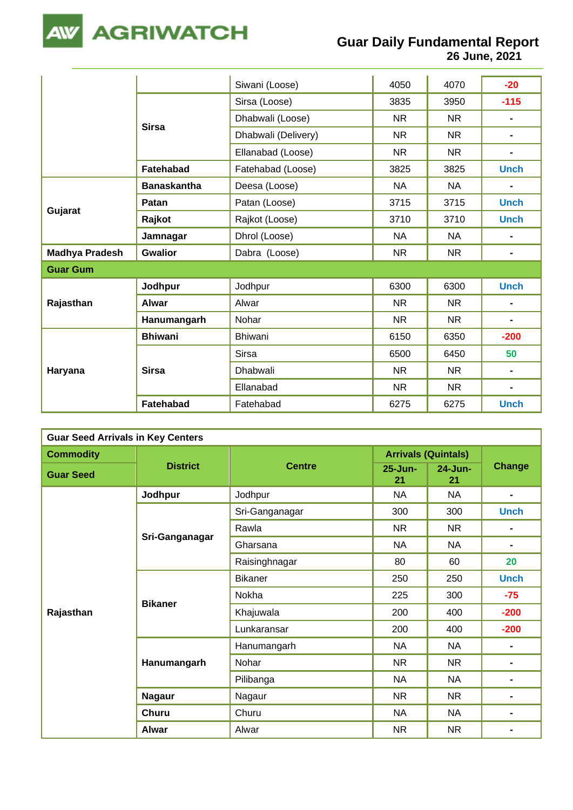

**26 June, 2021**

|                       |                    | Siwani (Loose)      | 4050      | 4070      | $-20$          |
|-----------------------|--------------------|---------------------|-----------|-----------|----------------|
|                       | <b>Sirsa</b>       | Sirsa (Loose)       | 3835      | 3950      | $-115$         |
|                       |                    | Dhabwali (Loose)    | <b>NR</b> | <b>NR</b> | $\blacksquare$ |
|                       |                    | Dhabwali (Delivery) | <b>NR</b> | <b>NR</b> | $\blacksquare$ |
|                       |                    | Ellanabad (Loose)   | <b>NR</b> | <b>NR</b> | $\blacksquare$ |
|                       | Fatehabad          | Fatehabad (Loose)   | 3825      | 3825      | <b>Unch</b>    |
|                       | <b>Banaskantha</b> | Deesa (Loose)       | <b>NA</b> | <b>NA</b> | -              |
|                       | Patan              | Patan (Loose)       | 3715      | 3715      | <b>Unch</b>    |
| Gujarat               | Rajkot             | Rajkot (Loose)      | 3710      | 3710      | <b>Unch</b>    |
|                       | Jamnagar           | Dhrol (Loose)       | <b>NA</b> | <b>NA</b> | $\blacksquare$ |
| <b>Madhya Pradesh</b> | <b>Gwalior</b>     | Dabra (Loose)       | <b>NR</b> | <b>NR</b> | $\blacksquare$ |
| <b>Guar Gum</b>       |                    |                     |           |           |                |
|                       | Jodhpur            | Jodhpur             | 6300      | 6300      | <b>Unch</b>    |
| Rajasthan             | Alwar              | Alwar               | <b>NR</b> | <b>NR</b> | $\blacksquare$ |
|                       | Hanumangarh        | Nohar               | <b>NR</b> | <b>NR</b> | $\blacksquare$ |
| Haryana               | <b>Bhiwani</b>     | Bhiwani             | 6150      | 6350      | $-200$         |
|                       |                    | <b>Sirsa</b>        | 6500      | 6450      | 50             |
|                       | <b>Sirsa</b>       | <b>Dhabwali</b>     | <b>NR</b> | NR.       | $\blacksquare$ |
|                       |                    | Ellanabad           | <b>NR</b> | <b>NR</b> | $\blacksquare$ |
|                       | Fatehabad          | Fatehabad           | 6275      | 6275      | <b>Unch</b>    |

| <b>Guar Seed Arrivals in Key Centers</b> |                 |                |                    |                                                                                   |                |  |  |  |
|------------------------------------------|-----------------|----------------|--------------------|-----------------------------------------------------------------------------------|----------------|--|--|--|
| <b>Commodity</b>                         |                 |                |                    |                                                                                   |                |  |  |  |
| <b>Guar Seed</b>                         | <b>District</b> | <b>Centre</b>  | $25 - Jun -$<br>21 | 24-Jun-<br>21                                                                     |                |  |  |  |
|                                          | Jodhpur         | Jodhpur        | <b>NA</b>          | <b>NA</b>                                                                         | $\blacksquare$ |  |  |  |
|                                          |                 | Sri-Ganganagar | 300                | 300                                                                               | <b>Unch</b>    |  |  |  |
|                                          |                 | Rawla          | <b>NR</b>          | <b>NR</b>                                                                         |                |  |  |  |
|                                          | Sri-Ganganagar  | Gharsana       | <b>NA</b>          | <b>NA</b>                                                                         |                |  |  |  |
|                                          |                 | Raisinghnagar  | 80                 | 60                                                                                | 20             |  |  |  |
|                                          |                 | <b>Bikaner</b> | 250                | 250                                                                               | <b>Unch</b>    |  |  |  |
|                                          | <b>Bikaner</b>  | Nokha          | 225                | 300                                                                               | $-75$          |  |  |  |
| Rajasthan                                |                 | Khajuwala      | 200                | 400                                                                               | $-200$         |  |  |  |
|                                          |                 | Lunkaransar    | 200                | 400                                                                               | $-200$         |  |  |  |
|                                          |                 | Hanumangarh    | <b>NA</b>          | <b>NA</b>                                                                         | $\blacksquare$ |  |  |  |
|                                          | Hanumangarh     | Nohar          | NR.                | NR.                                                                               | $\blacksquare$ |  |  |  |
|                                          |                 | Pilibanga      | <b>NA</b>          | <b>Arrivals (Quintals)</b><br>Change<br><b>NA</b><br><b>NR</b><br>NA<br><b>NR</b> |                |  |  |  |
|                                          | <b>Nagaur</b>   | Nagaur         | <b>NR</b>          |                                                                                   |                |  |  |  |
|                                          | Churu           | Churu          | <b>NA</b>          |                                                                                   |                |  |  |  |
|                                          | Alwar           | Alwar          | <b>NR</b>          |                                                                                   |                |  |  |  |